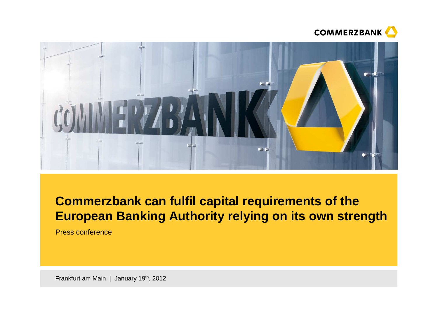



# **Commerzbank can fulfil capital requirements of the European Banking Authority relying on its own strength**

Press conference

Frankfurt am Main | January 19<sup>th</sup>, 2012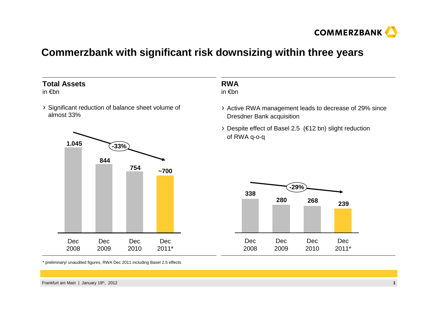

### **Commerzbank with significant risk downsizing within three years**

#### **Total Assets**

in €bn

Significant reduction of balance sheet volume of almost 33%



#### **RWA**in €bn

Active RWA management leads to decrease of 29% since Dresdner Bank acquisition

Despite effect of Basel 2.5 (€12 bn) slight reduction of RWA q-o-q



\* preliminary/ unaudited figures, RWA Dec 2011 including Basel 2.5 effects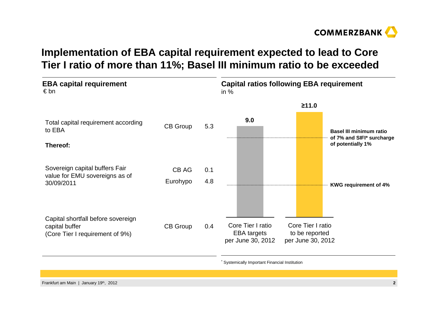

## **Implementation of EBA capital requirement expected to lead to Core Tier I ratio of more than 11%; Basel III minimum ratio to be exceeded**



Systemically Important Financial Institution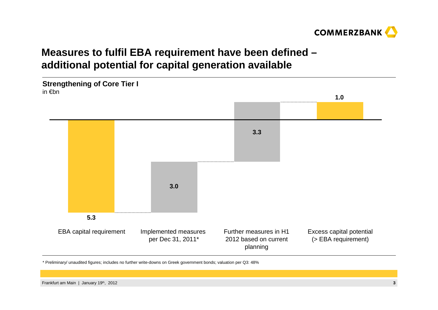

## **Measures to fulfil EBA requirement have been defined –additional potential for capital generation available**



\* Preliminary/ unaudited figures; includes no further write-downs on Greek government bonds; valuation per Q3: 48%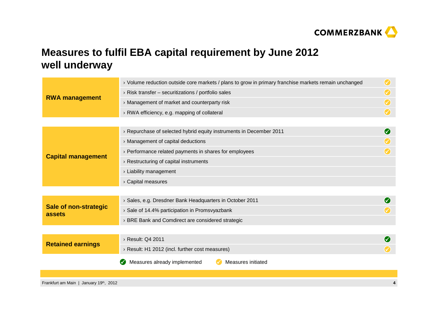

## **Measures to fulfil EBA capital requirement by June 2012well underway**

| <b>RWA management</b>                  | > Volume reduction outside core markets / plans to grow in primary franchise markets remain unchanged | $\bm{\mathcal{S}}$        |
|----------------------------------------|-------------------------------------------------------------------------------------------------------|---------------------------|
|                                        | $\rightarrow$ Risk transfer – securitizations / portfolio sales                                       | $\left(\checkmark\right)$ |
|                                        | > Management of market and counterparty risk                                                          | $\left(\checkmark\right)$ |
|                                        | > RWA efficiency, e.g. mapping of collateral                                                          | $\odot$                   |
|                                        |                                                                                                       |                           |
| <b>Capital management</b>              | > Repurchase of selected hybrid equity instruments in December 2011                                   | Ø                         |
|                                        | > Management of capital deductions                                                                    |                           |
|                                        | > Performance related payments in shares for employees                                                |                           |
|                                        | $\rightarrow$ Restructuring of capital instruments                                                    |                           |
|                                        | > Liability management                                                                                |                           |
|                                        | > Capital measures                                                                                    |                           |
|                                        |                                                                                                       |                           |
| <b>Sale of non-strategic</b><br>assets | > Sales, e.g. Dresdner Bank Headquarters in October 2011                                              | $(\checkmark)$            |
|                                        | > Sale of 14.4% participation in Promsvyazbank                                                        |                           |
|                                        | > BRE Bank and Comdirect are considered strategic                                                     |                           |
|                                        |                                                                                                       |                           |
| <b>Retained earnings</b>               | > Result: Q4 2011                                                                                     |                           |
|                                        | > Result: H1 2012 (incl. further cost measures)                                                       |                           |
|                                        | Measures initiated<br>Measures already implemented                                                    |                           |
|                                        |                                                                                                       |                           |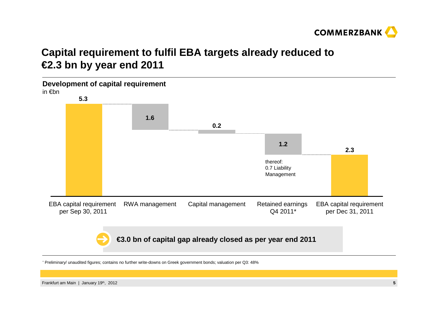

## **Capital requirement to fulfil EBA targets already reduced to€2.3 bn by year end 2011**



\* Preliminary/ unaudited figures; contains no further write-downs on Greek government bonds; valuation per Q3: 48%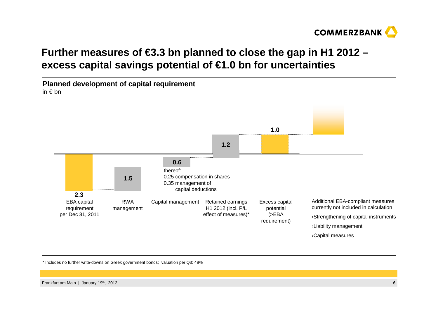

## **Further measures of €3.3 bn planned to close the gap in H1 2012 –excess capital savings potential of €1.0 bn for uncertainties**



\* Includes no further write-downs on Greek government bonds; valuation per Q3: 48%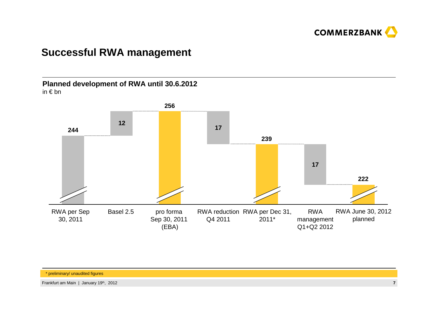

### **Successful RWA management**

**Planned development of RWA until 30.6.2012**in € bn

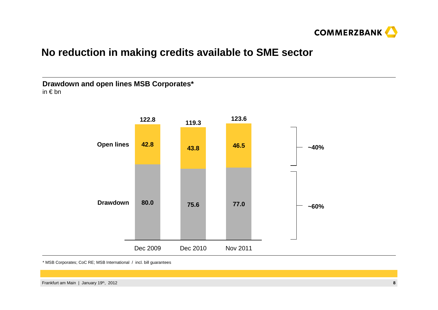

### **No reduction in making credits available to SME sector**



\* MSB Corporates; CoC RE; MSB International / incl. bill guarantees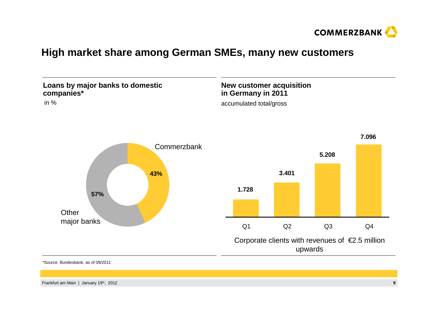

### **High market share among German SMEs, many new customers**



\*Source: Bundesbank, as of 09/2011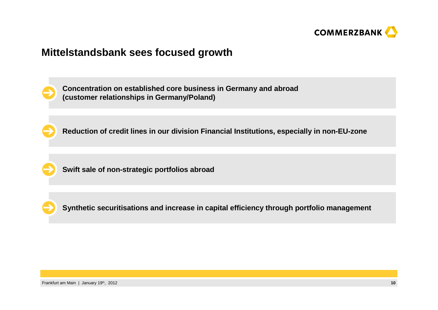

#### **Mittelstandsbank sees focused growth**



**Concentration on established core business in Germany and abroad(customer relationships in Germany/Poland)**

**Reduction of credit lines in our division Financial Institutions, especially in non-EU-zone**



**Swift sale of non-strategic portfolios abroad**



**Synthetic securitisations and increase in capital efficiency through portfolio management**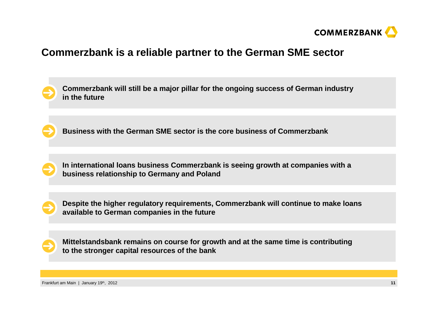

### **Commerzbank is a reliable partner to the German SME sector**

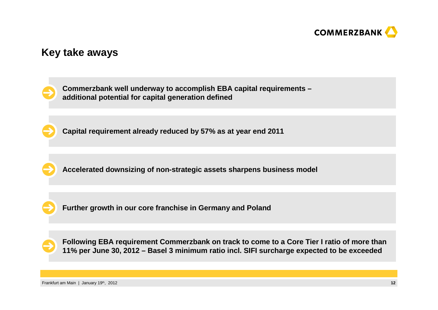

#### **Key take aways**

**Commerzbank well underway to accomplish EBA capital requirements –additional potential for capital generation defined**

**Capital requirement already reduced by 57% as at year end 2011**

**Accelerated downsizing of non-strategic assets sharpens business model** 

**Further growth in our core franchise in Germany and Poland**

**Following EBA requirement Commerzbank on track to come to a Core Tier I ratio of more than 11% per June 30, 2012 – Basel 3 minimum ratio incl. SIFI surcharge expected to be exceeded**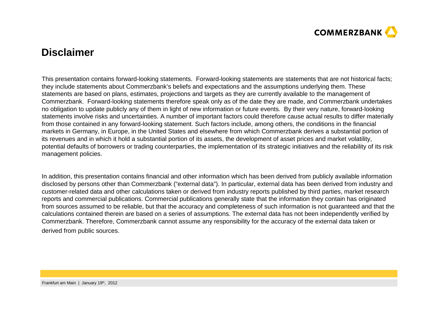

#### **Disclaimer**

This presentation contains forward-looking statements. Forward-looking statements are statements that are not historical facts;they include statements about Commerzbank's beliefs and expectations and the assumptions underlying them. These statements are based on plans, estimates, projections and targets as they are currently available to the management of Commerzbank. Forward-looking statements therefore speak only as of the date they are made, and Commerzbank undertakes no obligation to update publicly any of them in light of new information or future events. By their very nature, forward-looking statements involve risks and uncertainties. A number of important factors could therefore cause actual results to differ materially from those contained in any forward-looking statement. Such factors include, among others, the conditions in the financial markets in Germany, in Europe, in the United States and elsewhere from which Commerzbank derives a substantial portion of its revenues and in which it hold a substantial portion of its assets, the development of asset prices and market volatility, potential defaults of borrowers or trading counterparties, the implementation of its strategic initiatives and the reliability of its risk management policies.

In addition, this presentation contains financial and other information which has been derived from publicly available information disclosed by persons other than Commerzbank ("external data"). In particular, external data has been derived from industry and customer-related data and other calculations taken or derived from industry reports published by third parties, market research reports and commercial publications. Commercial publications generally state that the information they contain has originated from sources assumed to be reliable, but that the accuracy and completeness of such information is not guaranteed and that the calculations contained therein are based on a series of assumptions. The external data has not been independently verified by Commerzbank. Therefore, Commerzbank cannot assume any responsibility for the accuracy of the external data taken or derived from public sources.